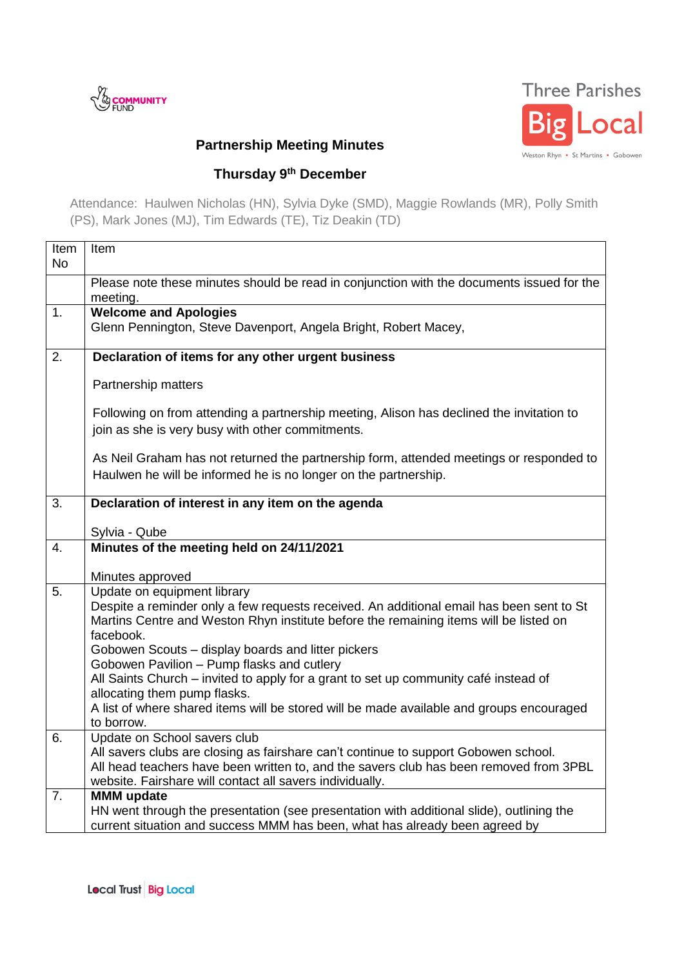



## **Partnership Meeting Minutes**

## **Thursday 9th December**

Attendance: Haulwen Nicholas (HN), Sylvia Dyke (SMD), Maggie Rowlands (MR), Polly Smith (PS), Mark Jones (MJ), Tim Edwards (TE), Tiz Deakin (TD)

| Item      | Item                                                                                                                                         |
|-----------|----------------------------------------------------------------------------------------------------------------------------------------------|
| <b>No</b> |                                                                                                                                              |
|           | Please note these minutes should be read in conjunction with the documents issued for the<br>meeting.                                        |
| 1.        | <b>Welcome and Apologies</b>                                                                                                                 |
|           | Glenn Pennington, Steve Davenport, Angela Bright, Robert Macey,                                                                              |
|           |                                                                                                                                              |
| 2.        | Declaration of items for any other urgent business                                                                                           |
|           | Partnership matters                                                                                                                          |
|           | Following on from attending a partnership meeting, Alison has declined the invitation to<br>join as she is very busy with other commitments. |
|           |                                                                                                                                              |
|           | As Neil Graham has not returned the partnership form, attended meetings or responded to                                                      |
|           | Haulwen he will be informed he is no longer on the partnership.                                                                              |
| 3.        | Declaration of interest in any item on the agenda                                                                                            |
|           |                                                                                                                                              |
|           | Sylvia - Qube                                                                                                                                |
| 4.        | Minutes of the meeting held on 24/11/2021                                                                                                    |
|           | Minutes approved                                                                                                                             |
| 5.        | Update on equipment library                                                                                                                  |
|           | Despite a reminder only a few requests received. An additional email has been sent to St                                                     |
|           | Martins Centre and Weston Rhyn institute before the remaining items will be listed on                                                        |
|           | facebook.                                                                                                                                    |
|           | Gobowen Scouts - display boards and litter pickers                                                                                           |
|           | Gobowen Pavilion - Pump flasks and cutlery                                                                                                   |
|           | All Saints Church - invited to apply for a grant to set up community café instead of<br>allocating them pump flasks.                         |
|           | A list of where shared items will be stored will be made available and groups encouraged                                                     |
|           | to borrow.                                                                                                                                   |
| 6.        | Update on School savers club                                                                                                                 |
|           | All savers clubs are closing as fairshare can't continue to support Gobowen school.                                                          |
|           | All head teachers have been written to, and the savers club has been removed from 3PBL                                                       |
|           | website. Fairshare will contact all savers individually.                                                                                     |
| 7.        | <b>MMM</b> update<br>HN went through the presentation (see presentation with additional slide), outlining the                                |
|           |                                                                                                                                              |
|           | current situation and success MMM has been, what has already been agreed by                                                                  |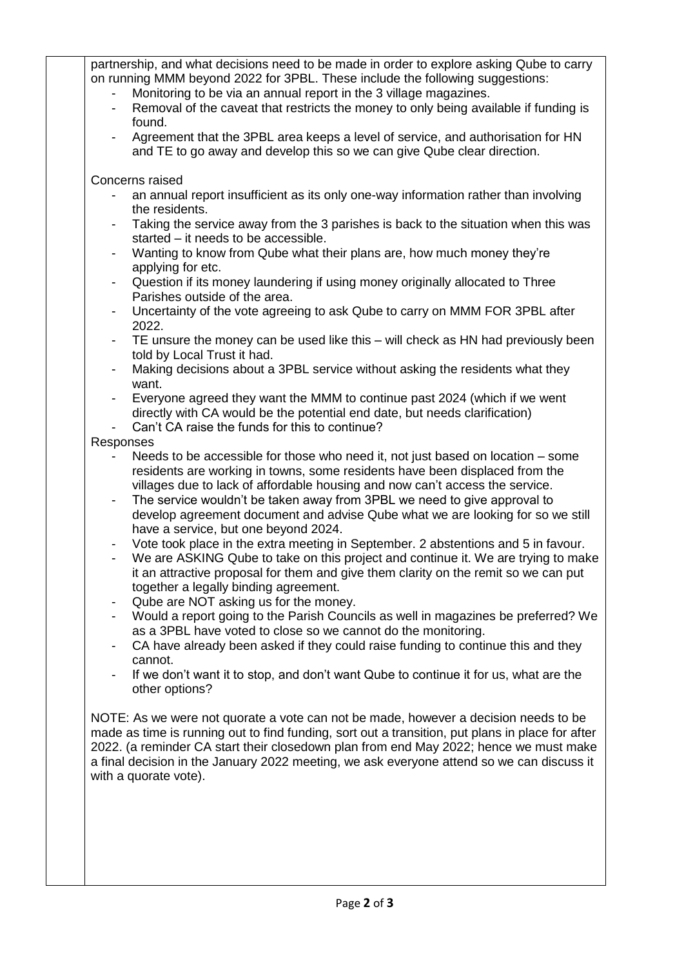partnership, and what decisions need to be made in order to explore asking Qube to carry on running MMM beyond 2022 for 3PBL. These include the following suggestions:

- Monitoring to be via an annual report in the 3 village magazines.
- Removal of the caveat that restricts the money to only being available if funding is found.
- Agreement that the 3PBL area keeps a level of service, and authorisation for HN and TE to go away and develop this so we can give Qube clear direction.

Concerns raised

- an annual report insufficient as its only one-way information rather than involving the residents.
- Taking the service away from the 3 parishes is back to the situation when this was started – it needs to be accessible.
- Wanting to know from Qube what their plans are, how much money they're applying for etc.
- Question if its money laundering if using money originally allocated to Three Parishes outside of the area.
- Uncertainty of the vote agreeing to ask Qube to carry on MMM FOR 3PBL after 2022.
- TE unsure the money can be used like this will check as HN had previously been told by Local Trust it had.
- Making decisions about a 3PBL service without asking the residents what they want.
- Everyone agreed they want the MMM to continue past 2024 (which if we went directly with CA would be the potential end date, but needs clarification)
- Can't CA raise the funds for this to continue?
- Responses
	- Needs to be accessible for those who need it, not just based on location  $-$  some residents are working in towns, some residents have been displaced from the villages due to lack of affordable housing and now can't access the service.
	- The service wouldn't be taken away from 3PBL we need to give approval to develop agreement document and advise Qube what we are looking for so we still have a service, but one beyond 2024.
	- Vote took place in the extra meeting in September. 2 abstentions and 5 in favour.
	- We are ASKING Qube to take on this project and continue it. We are trying to make it an attractive proposal for them and give them clarity on the remit so we can put together a legally binding agreement.
	- Qube are NOT asking us for the money.
	- Would a report going to the Parish Councils as well in magazines be preferred? We as a 3PBL have voted to close so we cannot do the monitoring.
	- CA have already been asked if they could raise funding to continue this and they cannot.
	- If we don't want it to stop, and don't want Qube to continue it for us, what are the other options?

NOTE: As we were not quorate a vote can not be made, however a decision needs to be made as time is running out to find funding, sort out a transition, put plans in place for after 2022. (a reminder CA start their closedown plan from end May 2022; hence we must make a final decision in the January 2022 meeting, we ask everyone attend so we can discuss it with a quorate vote).